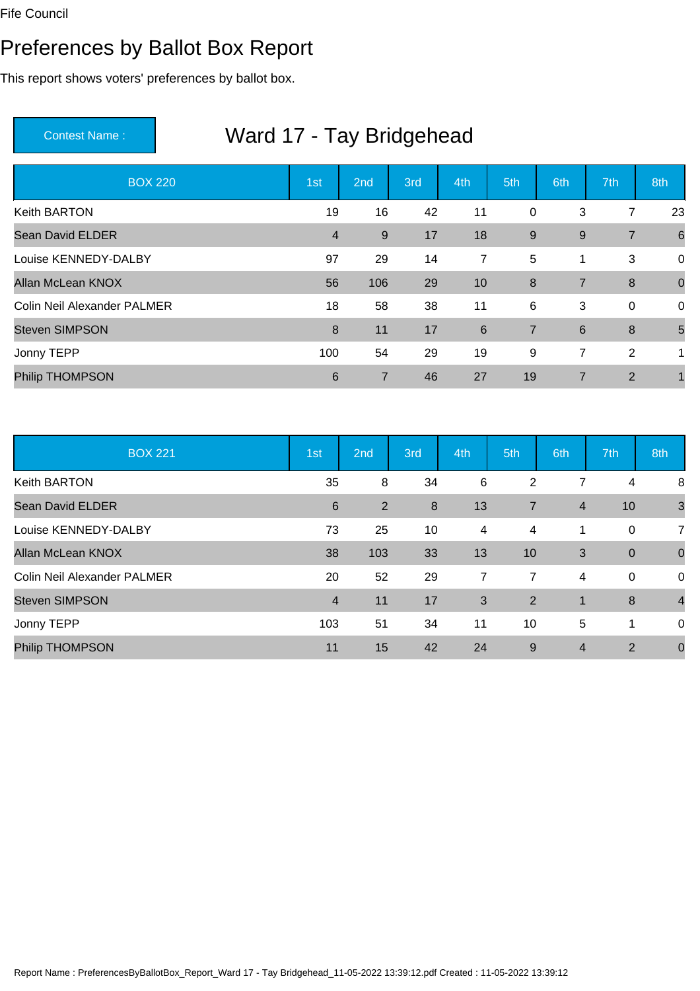### Preferences by Ballot Box Report

This report shows voters' preferences by ballot box.

| <b>BOX 220</b>              | 1st            | 2nd            | 3rd | 4th            | 5th            | 6th            | 7th              | 8th             |
|-----------------------------|----------------|----------------|-----|----------------|----------------|----------------|------------------|-----------------|
| Keith BARTON                | 19             | 16             | 42  | 11             | 0              | 3              | 7                | 23              |
| <b>Sean David ELDER</b>     | $\overline{4}$ | 9              | 17  | 18             | 9              | 9              | $\overline{7}$   | $6\phantom{1}6$ |
| Louise KENNEDY-DALBY        | 97             | 29             | 14  | 7              | 5              | 1              | 3                | 0               |
| <b>Allan McLean KNOX</b>    | 56             | 106            | 29  | 10             | 8              | $\overline{7}$ | 8                | $\mathbf 0$     |
| Colin Neil Alexander PALMER | 18             | 58             | 38  | 11             | 6              | 3              | $\overline{0}$   | 0               |
| <b>Steven SIMPSON</b>       | 8              | 11             | 17  | $6\phantom{1}$ | $\overline{7}$ | $6\phantom{1}$ | $\boldsymbol{8}$ | 5               |
| Jonny TEPP                  | 100            | 54             | 29  | 19             | 9              | $\overline{7}$ | 2                | 1               |
| <b>Philip THOMPSON</b>      | 6              | $\overline{7}$ | 46  | 27             | 19             | 7              | $\overline{2}$   |                 |

| <b>BOX 221</b>                     | 1st            | 2nd | 3rd | 4th            | 5th            | 6th            | 7th         | 8th            |
|------------------------------------|----------------|-----|-----|----------------|----------------|----------------|-------------|----------------|
| Keith BARTON                       | 35             | 8   | 34  | 6              | $\overline{2}$ | 7              | 4           | 8              |
| <b>Sean David ELDER</b>            | 6              | 2   | 8   | 13             | $\overline{7}$ | $\overline{4}$ | 10          | $\mathbf{3}$   |
| Louise KENNEDY-DALBY               | 73             | 25  | 10  | 4              | 4              | 1              | 0           | $\overline{7}$ |
| <b>Allan McLean KNOX</b>           | 38             | 103 | 33  | 13             | 10             | 3              | $\mathbf 0$ | $\mathbf 0$    |
| <b>Colin Neil Alexander PALMER</b> | 20             | 52  | 29  | $\overline{7}$ | $\overline{7}$ | 4              | 0           | $\mathbf 0$    |
| <b>Steven SIMPSON</b>              | $\overline{4}$ | 11  | 17  | 3              | 2              | 1              | 8           | $\overline{4}$ |
| Jonny TEPP                         | 103            | 51  | 34  | 11             | 10             | 5              | 1           | $\mathbf 0$    |
| <b>Philip THOMPSON</b>             | 11             | 15  | 42  | 24             | 9              | $\overline{4}$ | 2           | $\mathbf 0$    |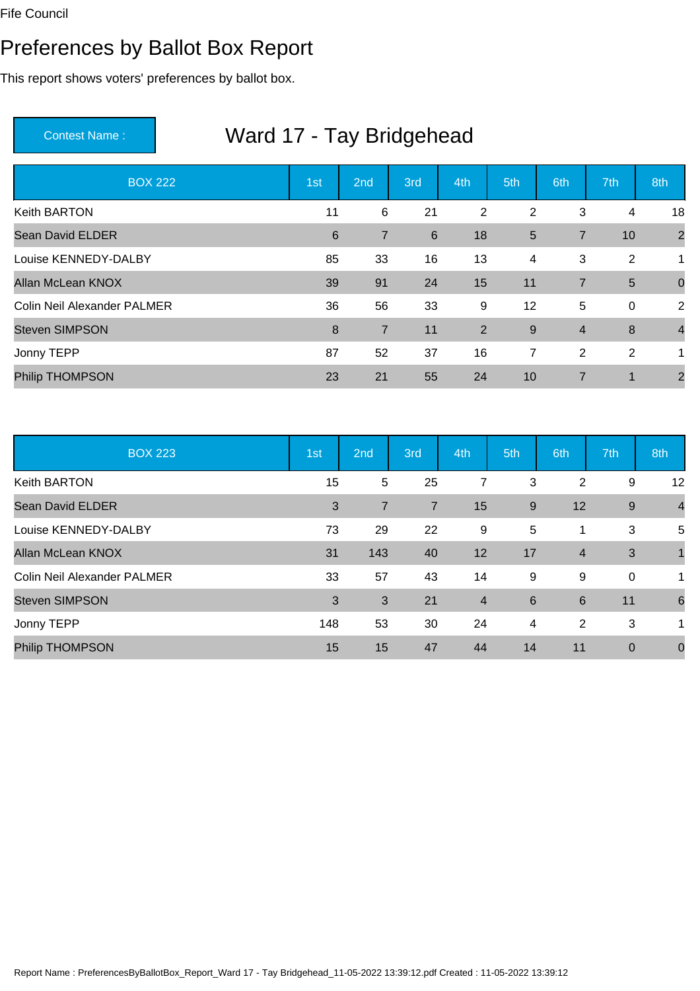### Preferences by Ballot Box Report

This report shows voters' preferences by ballot box.

| <b>BOX 222</b>              | 1st             | 2nd            | 3rd | 4th | 5th            | 6th            | 7th              | 8th                     |
|-----------------------------|-----------------|----------------|-----|-----|----------------|----------------|------------------|-------------------------|
| Keith BARTON                | 11              | 6              | 21  | 2   | 2              | 3              | 4                | 18                      |
| <b>Sean David ELDER</b>     | $6\phantom{1}6$ | $\overline{7}$ | 6   | 18  | $5\phantom{1}$ | $\overline{7}$ | 10               | $\overline{2}$          |
| Louise KENNEDY-DALBY        | 85              | 33             | 16  | 13  | $\overline{4}$ | 3              | 2                | 1                       |
| <b>Allan McLean KNOX</b>    | 39              | 91             | 24  | 15  | 11             | $\overline{7}$ | 5                | $\mathbf 0$             |
| Colin Neil Alexander PALMER | 36              | 56             | 33  | 9   | 12             | 5              | $\overline{0}$   | 2                       |
| <b>Steven SIMPSON</b>       | 8               | $\overline{7}$ | 11  | 2   | 9              | $\overline{4}$ | $\boldsymbol{8}$ | $\overline{\mathbf{4}}$ |
| Jonny TEPP                  | 87              | 52             | 37  | 16  | 7              | $\overline{2}$ | 2                | 1                       |
| <b>Philip THOMPSON</b>      | 23              | 21             | 55  | 24  | 10             | 7              | 1                | $\overline{2}$          |

| <b>BOX 223</b>              | 1st | 2 <sub>nd</sub> | 3rd            | 4th            | 5th | 6th            | 7th         | 8th            |
|-----------------------------|-----|-----------------|----------------|----------------|-----|----------------|-------------|----------------|
| Keith BARTON                | 15  | 5               | 25             | 7              | 3   | 2              | 9           | 12             |
| <b>Sean David ELDER</b>     | 3   | $\overline{7}$  | $\overline{7}$ | 15             | 9   | 12             | 9           | $\overline{4}$ |
| Louise KENNEDY-DALBY        | 73  | 29              | 22             | 9              | 5   | 1              | 3           | 5              |
| Allan McLean KNOX           | 31  | 143             | 40             | 12             | 17  | $\overline{4}$ | 3           |                |
| Colin Neil Alexander PALMER | 33  | 57              | 43             | 14             | 9   | 9              | 0           | 1              |
| <b>Steven SIMPSON</b>       | 3   | 3               | 21             | $\overline{4}$ | 6   | 6              | 11          | 6              |
| Jonny TEPP                  | 148 | 53              | 30             | 24             | 4   | 2              | 3           | 1              |
| <b>Philip THOMPSON</b>      | 15  | 15              | 47             | 44             | 14  | 11             | $\mathbf 0$ | $\mathbf 0$    |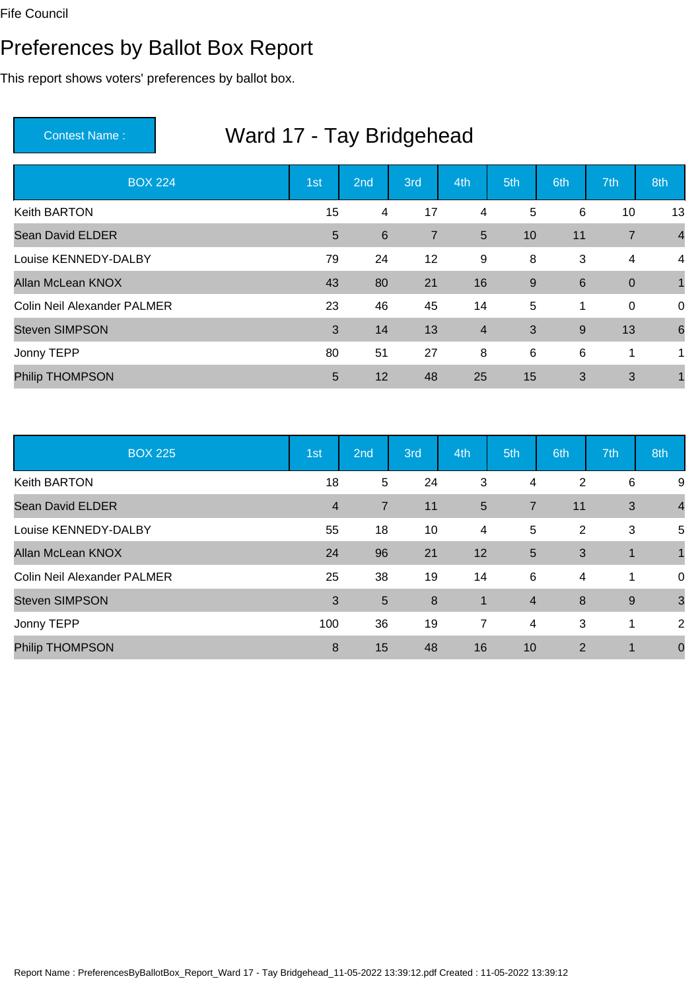### Preferences by Ballot Box Report

This report shows voters' preferences by ballot box.

| <b>BOX 224</b>              | 1st            | 2 <sub>nd</sub> | 3rd            | 4th            | 5th | 6th | 7th            | 8th            |
|-----------------------------|----------------|-----------------|----------------|----------------|-----|-----|----------------|----------------|
| Keith BARTON                | 15             | 4               | 17             | 4              | 5   | 6   | 10             | 13             |
| <b>Sean David ELDER</b>     | $5\phantom{1}$ | 6               | $\overline{7}$ | 5              | 10  | 11  | $\overline{7}$ | $\overline{4}$ |
| Louise KENNEDY-DALBY        | 79             | 24              | 12             | 9              | 8   | 3   | 4              | $\overline{4}$ |
| <b>Allan McLean KNOX</b>    | 43             | 80              | 21             | 16             | 9   | 6   | $\overline{0}$ |                |
| Colin Neil Alexander PALMER | 23             | 46              | 45             | 14             | 5   | 1   | $\mathbf 0$    | $\overline{0}$ |
| <b>Steven SIMPSON</b>       | 3              | 14              | 13             | $\overline{4}$ | 3   | 9   | 13             | 6              |
| Jonny TEPP                  | 80             | 51              | 27             | 8              | 6   | 6   | 1              | 1              |
| Philip THOMPSON             | $5\phantom{1}$ | 12              | 48             | 25             | 15  | 3   | 3              |                |

| <b>BOX 225</b>              | 1st            | 2nd            | 3rd | 4th          | 5th            | 6th | 7th         | 8th            |
|-----------------------------|----------------|----------------|-----|--------------|----------------|-----|-------------|----------------|
| <b>Keith BARTON</b>         | 18             | $\overline{5}$ | 24  | 3            | 4              | 2   | 6           | 9              |
| <b>Sean David ELDER</b>     | $\overline{4}$ | $\overline{7}$ | 11  | 5            | $\overline{7}$ | 11  | 3           | $\overline{4}$ |
| Louise KENNEDY-DALBY        | 55             | 18             | 10  | 4            | 5              | 2   | 3           | 5              |
| Allan McLean KNOX           | 24             | 96             | 21  | 12           | 5              | 3   | $\mathbf 1$ |                |
| Colin Neil Alexander PALMER | 25             | 38             | 19  | 14           | 6              | 4   | 1           | $\mathbf{0}$   |
| <b>Steven SIMPSON</b>       | 3              | $5\phantom{.}$ | 8   | $\mathbf{1}$ | $\overline{4}$ | 8   | 9           | 3              |
| Jonny TEPP                  | 100            | 36             | 19  | 7            | 4              | 3   | 1           | 2              |
| <b>Philip THOMPSON</b>      | 8              | 15             | 48  | 16           | 10             | 2   | $\mathbf 1$ | $\mathbf 0$    |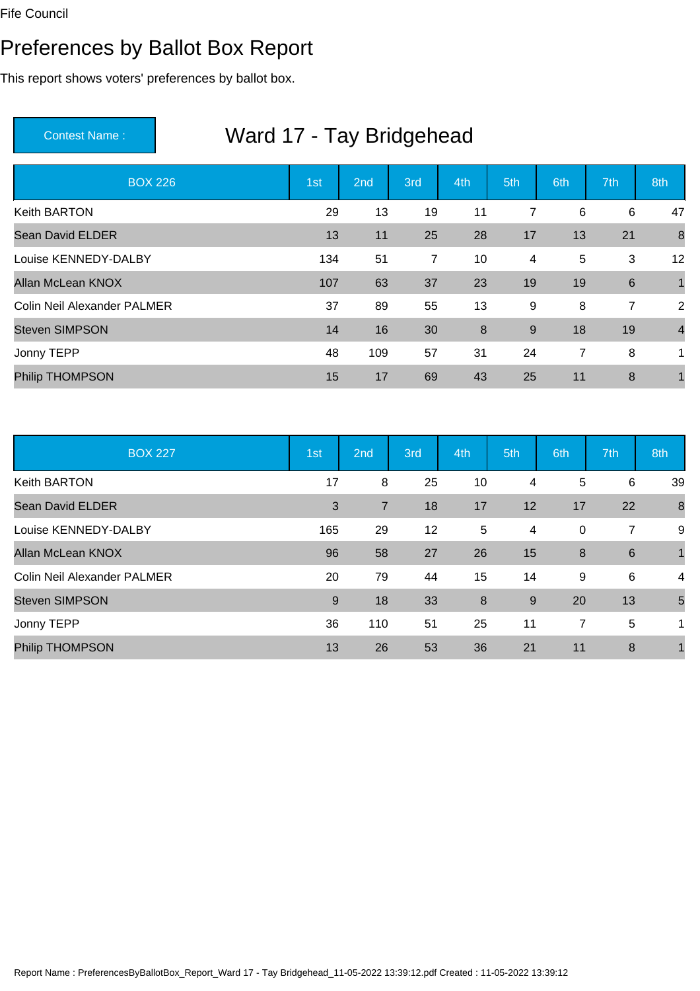### Preferences by Ballot Box Report

This report shows voters' preferences by ballot box.

| <b>BOX 226</b>              | 1st | 2 <sub>nd</sub> | 3rd            | 4th | 5th            | 6th | 7th            | 8th            |
|-----------------------------|-----|-----------------|----------------|-----|----------------|-----|----------------|----------------|
| Keith BARTON                | 29  | 13              | 19             | 11  | $\overline{7}$ | 6   | 6              | 47             |
| <b>Sean David ELDER</b>     | 13  | 11              | 25             | 28  | 17             | 13  | 21             | 8              |
| Louise KENNEDY-DALBY        | 134 | 51              | $\overline{7}$ | 10  | 4              | 5   | 3              | 12             |
| Allan McLean KNOX           | 107 | 63              | 37             | 23  | 19             | 19  | 6              |                |
| Colin Neil Alexander PALMER | 37  | 89              | 55             | 13  | 9              | 8   | $\overline{7}$ | 2              |
| <b>Steven SIMPSON</b>       | 14  | 16              | 30             | 8   | 9              | 18  | 19             | $\overline{4}$ |
| Jonny TEPP                  | 48  | 109             | 57             | 31  | 24             | 7   | 8              | 1              |
| Philip THOMPSON             | 15  | 17              | 69             | 43  | 25             | 11  | 8              |                |

| <b>BOX 227</b>              | 1st | 2nd            | 3rd | 4th | 5th | 6th         | 7th             | 8th |
|-----------------------------|-----|----------------|-----|-----|-----|-------------|-----------------|-----|
| <b>Keith BARTON</b>         | 17  | 8              | 25  | 10  | 4   | 5           | 6               | 39  |
| <b>Sean David ELDER</b>     | 3   | $\overline{7}$ | 18  | 17  | 12  | 17          | 22              | 8   |
| Louise KENNEDY-DALBY        | 165 | 29             | 12  | 5   | 4   | $\mathbf 0$ | $\overline{7}$  | 9   |
| Allan McLean KNOX           | 96  | 58             | 27  | 26  | 15  | 8           | $6\phantom{1}6$ |     |
| Colin Neil Alexander PALMER | 20  | 79             | 44  | 15  | 14  | 9           | 6               | 4   |
| <b>Steven SIMPSON</b>       | 9   | 18             | 33  | 8   | 9   | 20          | 13              | 5   |
| Jonny TEPP                  | 36  | 110            | 51  | 25  | 11  | 7           | 5               | 1   |
| <b>Philip THOMPSON</b>      | 13  | 26             | 53  | 36  | 21  | 11          | 8               |     |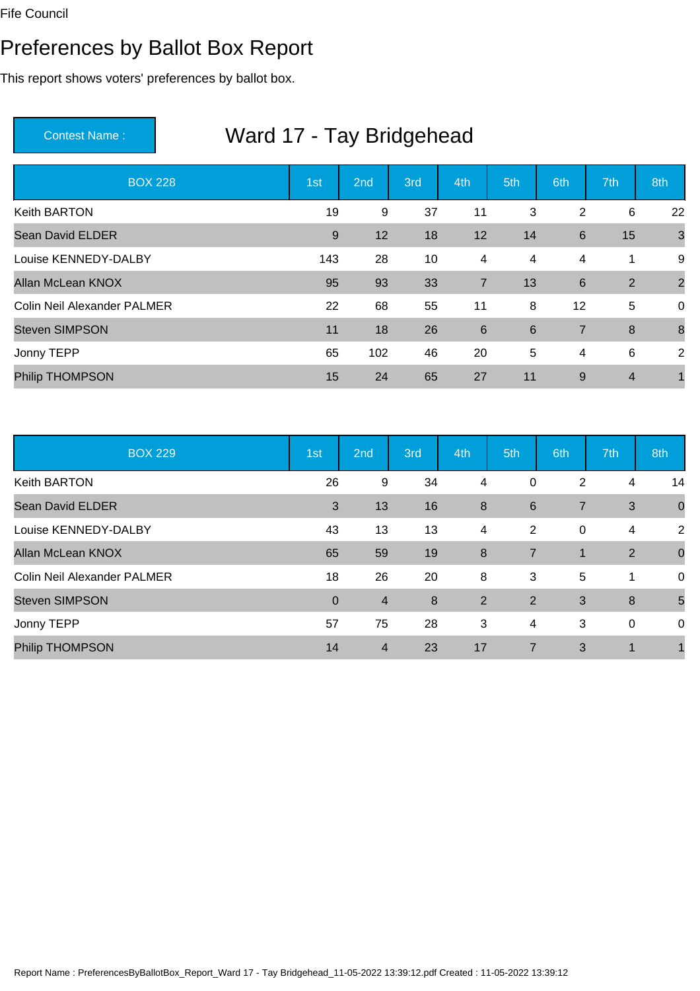### Preferences by Ballot Box Report

This report shows voters' preferences by ballot box.

| <b>BOX 228</b>              | 1st | 2nd | 3rd | 4th            | 5th            | 6th            | 7th              | 8th            |
|-----------------------------|-----|-----|-----|----------------|----------------|----------------|------------------|----------------|
| Keith BARTON                | 19  | 9   | 37  | 11             | 3              | 2              | 6                | 22             |
| <b>Sean David ELDER</b>     | 9   | 12  | 18  | 12             | 14             | $6\phantom{1}$ | 15               | $\overline{3}$ |
| Louise KENNEDY-DALBY        | 143 | 28  | 10  | 4              | $\overline{4}$ | 4              | 1                | 9              |
| <b>Allan McLean KNOX</b>    | 95  | 93  | 33  | $\overline{7}$ | 13             | 6              | 2                | $\overline{2}$ |
| Colin Neil Alexander PALMER | 22  | 68  | 55  | 11             | 8              | 12             | 5                | 0              |
| <b>Steven SIMPSON</b>       | 11  | 18  | 26  | $6\phantom{1}$ | 6              | $\overline{7}$ | $\boldsymbol{8}$ | 8              |
| Jonny TEPP                  | 65  | 102 | 46  | 20             | 5              | 4              | 6                | 2              |
| <b>Philip THOMPSON</b>      | 15  | 24  | 65  | 27             | 11             | 9              | $\overline{4}$   |                |

| <b>BOX 229</b>              | 1st      | 2 <sub>nd</sub> | 3rd | 4th            | 5th             | 6th            | 7th            | 8th            |
|-----------------------------|----------|-----------------|-----|----------------|-----------------|----------------|----------------|----------------|
| Keith BARTON                | 26       | 9               | 34  | 4              | 0               | 2              | 4              | 14             |
| <b>Sean David ELDER</b>     | 3        | 13              | 16  | 8              | $6\phantom{1}6$ | $\overline{7}$ | 3              | $\overline{0}$ |
| Louise KENNEDY-DALBY        | 43       | 13              | 13  | 4              | 2               | $\mathbf 0$    | 4              | 2              |
| <b>Allan McLean KNOX</b>    | 65       | 59              | 19  | 8              | $\overline{7}$  | 1              | $\overline{2}$ | $\overline{0}$ |
| Colin Neil Alexander PALMER | 18       | 26              | 20  | 8              | 3               | 5              | 1              | $\mathbf 0$    |
| <b>Steven SIMPSON</b>       | $\Omega$ | $\overline{4}$  | 8   | $\overline{2}$ | 2               | 3              | 8              | 5              |
| Jonny TEPP                  | 57       | 75              | 28  | 3              | 4               | 3              | 0              | $\overline{0}$ |
| <b>Philip THOMPSON</b>      | 14       | $\overline{4}$  | 23  | 17             | $\overline{7}$  | 3              | 1              |                |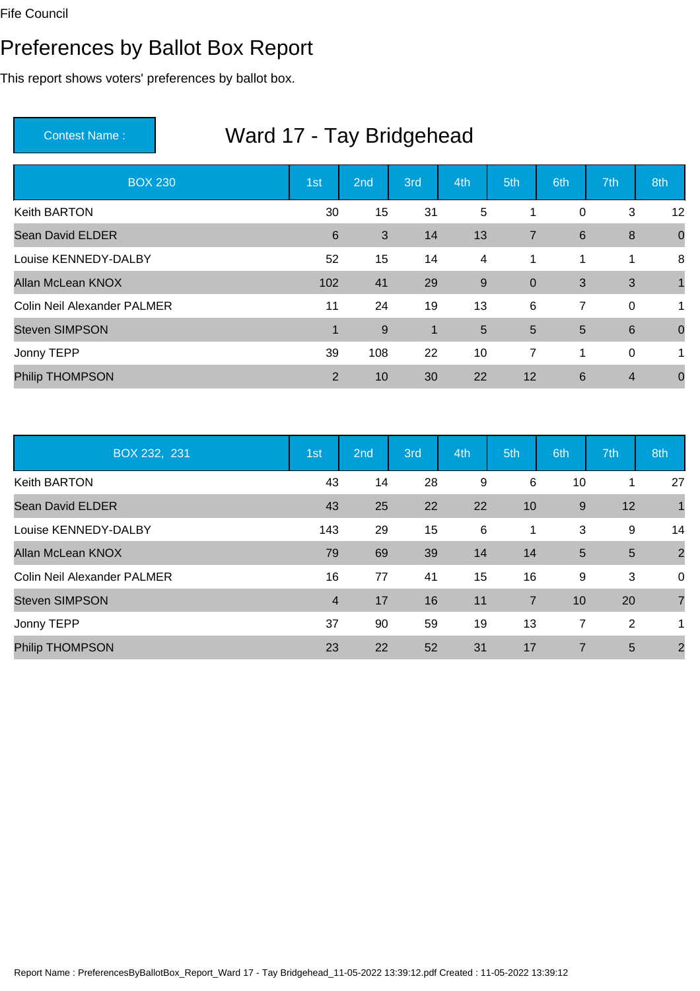### Preferences by Ballot Box Report

This report shows voters' preferences by ballot box.

| <b>BOX 230</b>                     | 1st             | 2nd | 3rd         | 4th | 5th            | 6th            | 7th              | 8th         |
|------------------------------------|-----------------|-----|-------------|-----|----------------|----------------|------------------|-------------|
| Keith BARTON                       | 30              | 15  | 31          | 5   | 1              | 0              | 3                | 12          |
| <b>Sean David ELDER</b>            | $6\phantom{1}6$ | 3   | 14          | 13  | $\overline{7}$ | $6\phantom{1}$ | $\boldsymbol{8}$ | $\mathbf 0$ |
| Louise KENNEDY-DALBY               | 52              | 15  | 14          | 4   | 1              | 1              | 1                | 8           |
| <b>Allan McLean KNOX</b>           | 102             | 41  | 29          | 9   | $\mathbf 0$    | 3              | 3                |             |
| <b>Colin Neil Alexander PALMER</b> | 11              | 24  | 19          | 13  | 6              | $\overline{7}$ | $\mathbf 0$      | $\mathbf 1$ |
| <b>Steven SIMPSON</b>              | $\mathbf 1$     | 9   | $\mathbf 1$ | 5   | $5\phantom{1}$ | 5              | 6                | $\mathbf 0$ |
| Jonny TEPP                         | 39              | 108 | 22          | 10  | $\overline{7}$ | 1              | $\overline{0}$   | 1           |
| <b>Philip THOMPSON</b>             | 2               | 10  | 30          | 22  | 12             | 6              | $\overline{4}$   | $\mathbf 0$ |

| BOX 232, 231                | 1st            | 2nd | 3rd | 4th | 5th            | 6th            | 7th | 8th            |
|-----------------------------|----------------|-----|-----|-----|----------------|----------------|-----|----------------|
| <b>Keith BARTON</b>         | 43             | 14  | 28  | 9   | 6              | 10             |     | 27             |
| <b>Sean David ELDER</b>     | 43             | 25  | 22  | 22  | 10             | $9\,$          | 12  |                |
| Louise KENNEDY-DALBY        | 143            | 29  | 15  | 6   | $\mathbf 1$    | 3              | 9   | 14             |
| Allan McLean KNOX           | 79             | 69  | 39  | 14  | 14             | 5              | 5   | $\overline{2}$ |
| Colin Neil Alexander PALMER | 16             | 77  | 41  | 15  | 16             | 9              | 3   | 0              |
| <b>Steven SIMPSON</b>       | $\overline{4}$ | 17  | 16  | 11  | $\overline{7}$ | 10             | 20  | $\overline{7}$ |
| Jonny TEPP                  | 37             | 90  | 59  | 19  | 13             | 7              | 2   | 1              |
| <b>Philip THOMPSON</b>      | 23             | 22  | 52  | 31  | 17             | $\overline{7}$ | 5   | $\overline{2}$ |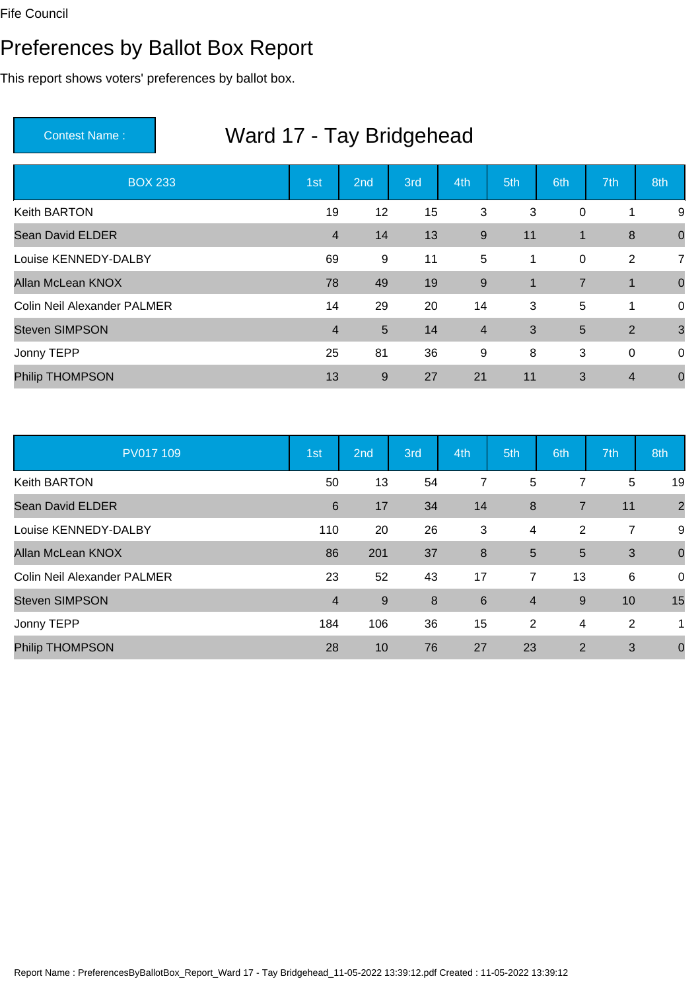### Preferences by Ballot Box Report

This report shows voters' preferences by ballot box.

| <b>BOX 233</b>              | 1st            | 2nd            | 3rd | 4th            | 5th | 6th            | 7th            | 8th            |
|-----------------------------|----------------|----------------|-----|----------------|-----|----------------|----------------|----------------|
| Keith BARTON                | 19             | 12             | 15  | 3              | 3   | 0              | 1              | 9              |
| <b>Sean David ELDER</b>     | $\overline{4}$ | 14             | 13  | 9              | 11  | 1              | 8              | $\overline{0}$ |
| Louise KENNEDY-DALBY        | 69             | 9              | 11  | 5              | 1   | 0              | $\overline{2}$ | $\overline{7}$ |
| <b>Allan McLean KNOX</b>    | 78             | 49             | 19  | 9              | 1   | $\overline{7}$ | $\mathbf{1}$   | $\overline{0}$ |
| Colin Neil Alexander PALMER | 14             | 29             | 20  | 14             | 3   | 5              | $\mathbf 1$    | $\overline{0}$ |
| <b>Steven SIMPSON</b>       | $\overline{4}$ | $5\phantom{1}$ | 14  | $\overline{4}$ | 3   | 5              | $\overline{2}$ | $\mathbf{3}$   |
| Jonny TEPP                  | 25             | 81             | 36  | 9              | 8   | 3              | $\mathbf 0$    | $\overline{0}$ |
| <b>Philip THOMPSON</b>      | 13             | 9              | 27  | 21             | 11  | 3              | $\overline{4}$ | $\overline{0}$ |

| PV017 109                          | 1st            | 2nd | 3rd | 4th             | 5th            | 6th            | 7th | 8th            |
|------------------------------------|----------------|-----|-----|-----------------|----------------|----------------|-----|----------------|
| Keith BARTON                       | 50             | 13  | 54  | 7               | 5              | 7              | 5   | 19             |
| <b>Sean David ELDER</b>            | 6              | 17  | 34  | 14              | 8              | $\overline{7}$ | 11  | $\overline{2}$ |
| Louise KENNEDY-DALBY               | 110            | 20  | 26  | 3               | 4              | 2              | 7   | 9              |
| Allan McLean KNOX                  | 86             | 201 | 37  | 8               | $5\phantom{1}$ | 5              | 3   | $\mathbf 0$    |
| <b>Colin Neil Alexander PALMER</b> | 23             | 52  | 43  | 17              | $\overline{7}$ | 13             | 6   | 0              |
| <b>Steven SIMPSON</b>              | $\overline{4}$ | 9   | 8   | $6\phantom{1}6$ | $\overline{4}$ | 9              | 10  | 15             |
| Jonny TEPP                         | 184            | 106 | 36  | 15              | $\overline{2}$ | 4              | 2   | 1              |
| <b>Philip THOMPSON</b>             | 28             | 10  | 76  | 27              | 23             | 2              | 3   | $\mathbf 0$    |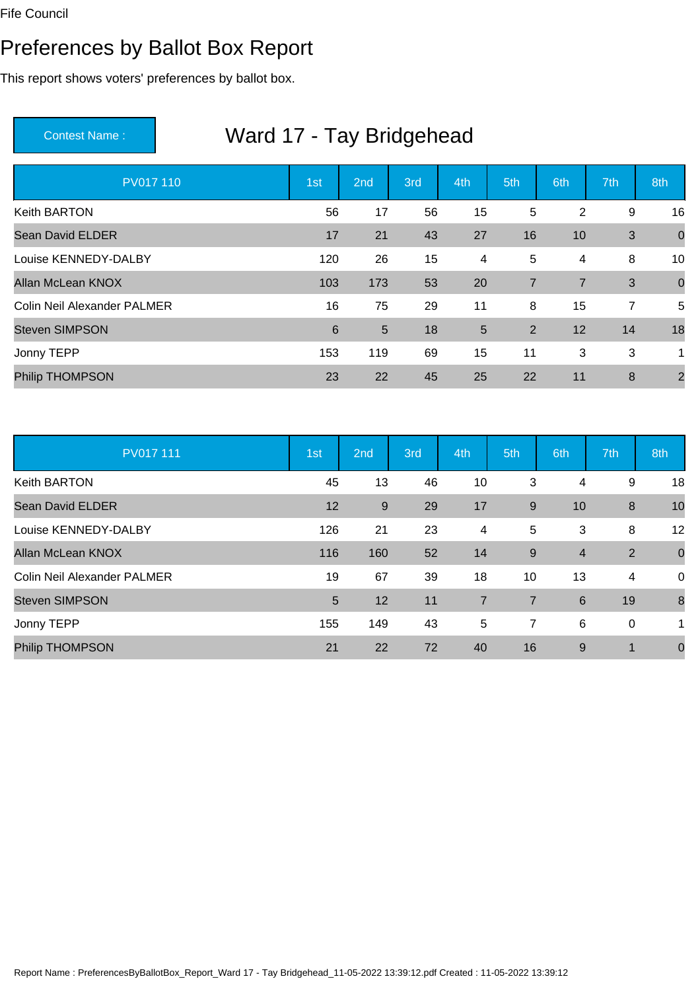### Preferences by Ballot Box Report

This report shows voters' preferences by ballot box.

| PV017 110                          | 1st | 2 <sub>nd</sub> | 3rd | 4th            | 5th            | 6th | 7th            | 8th            |
|------------------------------------|-----|-----------------|-----|----------------|----------------|-----|----------------|----------------|
| Keith BARTON                       | 56  | 17              | 56  | 15             | 5              | 2   | 9              | 16             |
| <b>Sean David ELDER</b>            | 17  | 21              | 43  | 27             | 16             | 10  | 3              | $\mathbf 0$    |
| Louise KENNEDY-DALBY               | 120 | 26              | 15  | 4              | 5              | 4   | 8              | 10             |
| Allan McLean KNOX                  | 103 | 173             | 53  | 20             | $\overline{7}$ | 7   | 3              | $\overline{0}$ |
| <b>Colin Neil Alexander PALMER</b> | 16  | 75              | 29  | 11             | 8              | 15  | $\overline{7}$ | 5              |
| <b>Steven SIMPSON</b>              | 6   | $5\phantom{1}$  | 18  | $5\phantom{1}$ | 2              | 12  | 14             | 18             |
| Jonny TEPP                         | 153 | 119             | 69  | 15             | 11             | 3   | 3              | $\mathbf 1$    |
| <b>Philip THOMPSON</b>             | 23  | 22              | 45  | 25             | 22             | 11  | 8              | $\overline{2}$ |

| PV017 111                   | 1st | 2nd   | 3rd | 4th            | 5th             | 6th            | 7th                     | 8th            |
|-----------------------------|-----|-------|-----|----------------|-----------------|----------------|-------------------------|----------------|
| <b>Keith BARTON</b>         | 45  | 13    | 46  | 10             | 3               | 4              | 9                       | 18             |
| <b>Sean David ELDER</b>     | 12  | $9\,$ | 29  | 17             | $9\,$           | 10             | 8                       | 10             |
| Louise KENNEDY-DALBY        | 126 | 21    | 23  | 4              | $5\phantom{.0}$ | 3              | 8                       | 12             |
| Allan McLean KNOX           | 116 | 160   | 52  | 14             | 9               | $\overline{4}$ | 2                       | $\overline{0}$ |
| Colin Neil Alexander PALMER | 19  | 67    | 39  | 18             | 10              | 13             | 4                       | $\mathbf 0$    |
| <b>Steven SIMPSON</b>       | 5   | 12    | 11  | $\overline{7}$ | $\overline{7}$  | 6              | 19                      | 8              |
| Jonny TEPP                  | 155 | 149   | 43  | 5              | $\overline{7}$  | 6              | 0                       | 1              |
| <b>Philip THOMPSON</b>      | 21  | 22    | 72  | 40             | 16              | 9              | $\overline{\mathbf{1}}$ | $\mathbf 0$    |